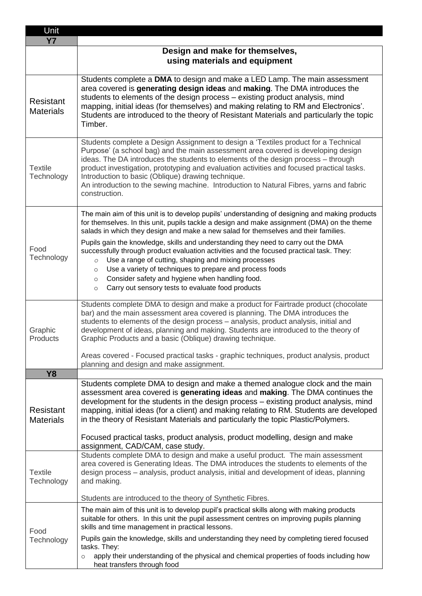| Unit<br><b>Y7</b>                    |                                                                                                                                                                                                                                                                                                                                                                                                                                                                                                                                                             |
|--------------------------------------|-------------------------------------------------------------------------------------------------------------------------------------------------------------------------------------------------------------------------------------------------------------------------------------------------------------------------------------------------------------------------------------------------------------------------------------------------------------------------------------------------------------------------------------------------------------|
|                                      | Design and make for themselves,                                                                                                                                                                                                                                                                                                                                                                                                                                                                                                                             |
|                                      | using materials and equipment                                                                                                                                                                                                                                                                                                                                                                                                                                                                                                                               |
| <b>Resistant</b><br><b>Materials</b> | Students complete a DMA to design and make a LED Lamp. The main assessment<br>area covered is generating design ideas and making. The DMA introduces the<br>students to elements of the design process - existing product analysis, mind<br>mapping, initial ideas (for themselves) and making relating to RM and Electronics'.<br>Students are introduced to the theory of Resistant Materials and particularly the topic<br>Timber.                                                                                                                       |
| <b>Textile</b><br>Technology         | Students complete a Design Assignment to design a 'Textiles product for a Technical<br>Purpose' (a school bag) and the main assessment area covered is developing design<br>ideas. The DA introduces the students to elements of the design process - through<br>product investigation, prototyping and evaluation activities and focused practical tasks.<br>Introduction to basic (Oblique) drawing technique.<br>An introduction to the sewing machine. Introduction to Natural Fibres, yarns and fabric<br>construction.                                |
| Food<br>Technology                   | The main aim of this unit is to develop pupils' understanding of designing and making products<br>for themselves. In this unit, pupils tackle a design and make assignment (DMA) on the theme<br>salads in which they design and make a new salad for themselves and their families.                                                                                                                                                                                                                                                                        |
|                                      | Pupils gain the knowledge, skills and understanding they need to carry out the DMA<br>successfully through product evaluation activities and the focused practical task. They:<br>Use a range of cutting, shaping and mixing processes<br>$\circ$<br>Use a variety of techniques to prepare and process foods<br>$\circ$<br>Consider safety and hygiene when handling food.<br>$\circ$<br>Carry out sensory tests to evaluate food products<br>$\circ$                                                                                                      |
| Graphic<br>Products                  | Students complete DMA to design and make a product for Fairtrade product (chocolate<br>bar) and the main assessment area covered is planning. The DMA introduces the<br>students to elements of the design process - analysis, product analysis, initial and<br>development of ideas, planning and making. Students are introduced to the theory of<br>Graphic Products and a basic (Oblique) drawing technique.                                                                                                                                            |
|                                      | Areas covered - Focused practical tasks - graphic techniques, product analysis, product<br>planning and design and make assignment.                                                                                                                                                                                                                                                                                                                                                                                                                         |
| <b>Y8</b>                            |                                                                                                                                                                                                                                                                                                                                                                                                                                                                                                                                                             |
| Resistant<br><b>Materials</b>        | Students complete DMA to design and make a themed analogue clock and the main<br>assessment area covered is generating ideas and making. The DMA continues the<br>development for the students in the design process - existing product analysis, mind<br>mapping, initial ideas (for a client) and making relating to RM. Students are developed<br>in the theory of Resistant Materials and particularly the topic Plastic/Polymers.<br>Focused practical tasks, product analysis, product modelling, design and make<br>assignment, CAD/CAM, case study. |
| <b>Textile</b><br>Technology         | Students complete DMA to design and make a useful product. The main assessment<br>area covered is Generating Ideas. The DMA introduces the students to elements of the<br>design process - analysis, product analysis, initial and development of ideas, planning<br>and making.                                                                                                                                                                                                                                                                            |
|                                      | Students are introduced to the theory of Synthetic Fibres.                                                                                                                                                                                                                                                                                                                                                                                                                                                                                                  |
| Food<br>Technology                   | The main aim of this unit is to develop pupil's practical skills along with making products<br>suitable for others. In this unit the pupil assessment centres on improving pupils planning<br>skills and time management in practical lessons.                                                                                                                                                                                                                                                                                                              |
|                                      | Pupils gain the knowledge, skills and understanding they need by completing tiered focused<br>tasks. They:<br>apply their understanding of the physical and chemical properties of foods including how<br>$\circ$<br>heat transfers through food                                                                                                                                                                                                                                                                                                            |